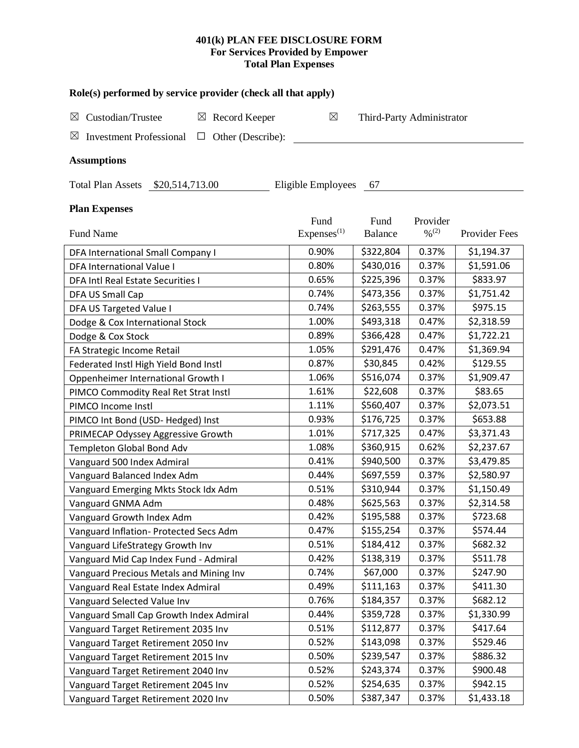# **401(k) PLAN FEE DISCLOSURE FORM For Services Provided by Empower Total Plan Expenses**

| Role(s) performed by service provider (check all that apply)                 |                                |                           |                                          |               |  |  |  |  |
|------------------------------------------------------------------------------|--------------------------------|---------------------------|------------------------------------------|---------------|--|--|--|--|
| Custodian/Trustee<br>$\boxtimes$ Record Keeper<br>$\boxtimes$                | $\boxtimes$                    | Third-Party Administrator |                                          |               |  |  |  |  |
| <b>Investment Professional</b><br>Other (Describe):<br>$\boxtimes$<br>$\Box$ |                                |                           |                                          |               |  |  |  |  |
| <b>Assumptions</b>                                                           |                                |                           |                                          |               |  |  |  |  |
| Total Plan Assets \$20,514,713.00                                            | Eligible Employees             | 67                        |                                          |               |  |  |  |  |
| <b>Plan Expenses</b>                                                         |                                |                           |                                          |               |  |  |  |  |
| Fund Name                                                                    | Fund<br>Express <sup>(1)</sup> | Fund<br><b>Balance</b>    | Provider<br>$\frac{9}{6}$ <sup>(2)</sup> | Provider Fees |  |  |  |  |
| DFA International Small Company I                                            | 0.90%                          | \$322,804                 | 0.37%                                    | \$1,194.37    |  |  |  |  |
| DFA International Value I                                                    | 0.80%                          | \$430,016                 | 0.37%                                    | \$1,591.06    |  |  |  |  |
| DFA Intl Real Estate Securities I                                            | 0.65%                          | \$225,396                 | 0.37%                                    | \$833.97      |  |  |  |  |
| DFA US Small Cap                                                             | 0.74%                          | \$473,356                 | 0.37%                                    | \$1,751.42    |  |  |  |  |
| DFA US Targeted Value I                                                      | 0.74%                          | \$263,555                 | 0.37%                                    | \$975.15      |  |  |  |  |
| Dodge & Cox International Stock                                              | 1.00%                          | \$493,318                 | 0.47%                                    | \$2,318.59    |  |  |  |  |
| Dodge & Cox Stock                                                            | 0.89%                          | \$366,428                 | 0.47%                                    | \$1,722.21    |  |  |  |  |
| FA Strategic Income Retail                                                   | 1.05%                          | \$291,476                 | 0.47%                                    | \$1,369.94    |  |  |  |  |
| Federated Instl High Yield Bond Instl                                        | 0.87%                          | \$30,845                  | 0.42%                                    | \$129.55      |  |  |  |  |
| Oppenheimer International Growth I                                           | 1.06%                          | \$516,074                 | 0.37%                                    | \$1,909.47    |  |  |  |  |
| PIMCO Commodity Real Ret Strat Instl                                         | 1.61%                          | \$22,608                  | 0.37%                                    | \$83.65       |  |  |  |  |
| PIMCO Income Instl                                                           | 1.11%                          | \$560,407                 | 0.37%                                    | \$2,073.51    |  |  |  |  |
| PIMCO Int Bond (USD-Hedged) Inst                                             | 0.93%                          | \$176,725                 | 0.37%                                    | \$653.88      |  |  |  |  |
| PRIMECAP Odyssey Aggressive Growth                                           | 1.01%                          | \$717,325                 | 0.47%                                    | \$3,371.43    |  |  |  |  |
| Templeton Global Bond Adv                                                    | 1.08%                          | \$360,915                 | 0.62%                                    | \$2,237.67    |  |  |  |  |
| Vanguard 500 Index Admiral                                                   | 0.41%                          | \$940,500                 | 0.37%                                    | \$3,479.85    |  |  |  |  |
| Vanguard Balanced Index Adm                                                  | 0.44%                          | \$697,559                 | 0.37%                                    | \$2,580.97    |  |  |  |  |
| Vanguard Emerging Mkts Stock Idx Adm                                         | 0.51%                          | \$310,944                 | 0.37%                                    | \$1,150.49    |  |  |  |  |
| Vanguard GNMA Adm                                                            | 0.48%                          | \$625,563                 | 0.37%                                    | \$2,314.58    |  |  |  |  |
| Vanguard Growth Index Adm                                                    | 0.42%                          | \$195,588                 | 0.37%                                    | \$723.68      |  |  |  |  |
| Vanguard Inflation- Protected Secs Adm                                       | 0.47%                          | \$155,254                 | 0.37%                                    | \$574.44      |  |  |  |  |
| Vanguard LifeStrategy Growth Inv                                             | 0.51%                          | \$184,412                 | 0.37%                                    | \$682.32      |  |  |  |  |
| Vanguard Mid Cap Index Fund - Admiral                                        | 0.42%                          | \$138,319                 | 0.37%                                    | \$511.78      |  |  |  |  |
| Vanguard Precious Metals and Mining Inv                                      | 0.74%                          | \$67,000                  | 0.37%                                    | \$247.90      |  |  |  |  |
| Vanguard Real Estate Index Admiral                                           | 0.49%                          | \$111,163                 | 0.37%                                    | \$411.30      |  |  |  |  |
| Vanguard Selected Value Inv                                                  | 0.76%                          | \$184,357                 | 0.37%                                    | \$682.12      |  |  |  |  |
| Vanguard Small Cap Growth Index Admiral                                      | 0.44%                          | \$359,728                 | 0.37%                                    | \$1,330.99    |  |  |  |  |
| Vanguard Target Retirement 2035 Inv                                          | 0.51%                          | \$112,877                 | 0.37%                                    | \$417.64      |  |  |  |  |
| Vanguard Target Retirement 2050 Inv                                          | 0.52%                          | \$143,098                 | 0.37%                                    | \$529.46      |  |  |  |  |
| Vanguard Target Retirement 2015 Inv                                          | 0.50%                          | \$239,547                 | 0.37%                                    | \$886.32      |  |  |  |  |
| Vanguard Target Retirement 2040 Inv                                          | 0.52%                          | \$243,374                 | 0.37%                                    | \$900.48      |  |  |  |  |
| Vanguard Target Retirement 2045 Inv                                          | 0.52%                          | \$254,635                 | 0.37%                                    | \$942.15      |  |  |  |  |
| Vanguard Target Retirement 2020 Inv                                          | 0.50%                          | \$387,347                 | 0.37%                                    | \$1,433.18    |  |  |  |  |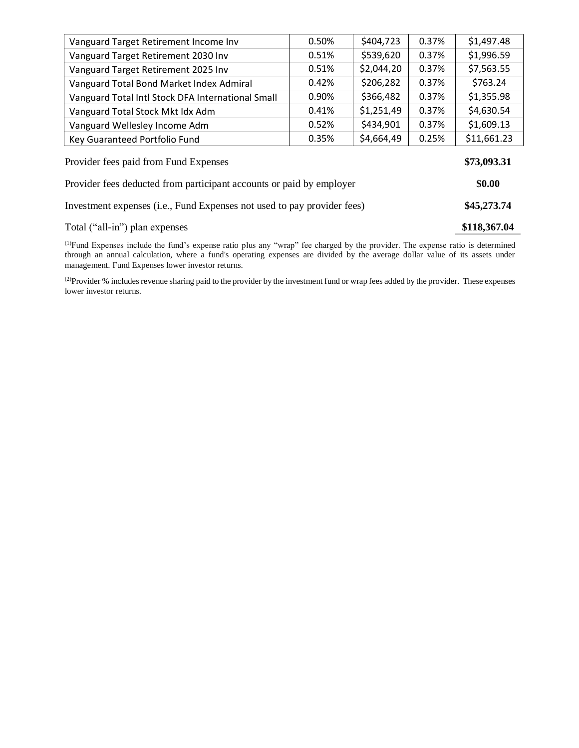| Vanguard Target Retirement Income Inv                                   | 0.50%        | \$404,723  | 0.37% | \$1,497.48  |
|-------------------------------------------------------------------------|--------------|------------|-------|-------------|
| Vanguard Target Retirement 2030 Inv                                     | 0.51%        | \$539,620  | 0.37% | \$1,996.59  |
| Vanguard Target Retirement 2025 Inv                                     | 0.51%        | \$2,044,20 | 0.37% | \$7,563.55  |
| Vanguard Total Bond Market Index Admiral                                | 0.42%        | \$206,282  | 0.37% | \$763.24    |
| Vanguard Total Intl Stock DFA International Small                       | 0.90%        | \$366,482  | 0.37% | \$1,355.98  |
| Vanguard Total Stock Mkt Idx Adm                                        | 0.41%        | \$1,251,49 | 0.37% | \$4,630.54  |
| Vanguard Wellesley Income Adm                                           | 0.52%        | \$434,901  | 0.37% | \$1,609.13  |
| Key Guaranteed Portfolio Fund                                           | 0.35%        | \$4,664,49 | 0.25% | \$11,661.23 |
| Provider fees paid from Fund Expenses                                   | \$73,093.31  |            |       |             |
| Provider fees deducted from participant accounts or paid by employer    | \$0.00       |            |       |             |
| Investment expenses (i.e., Fund Expenses not used to pay provider fees) | \$45,273.74  |            |       |             |
| Total ("all-in") plan expenses                                          | \$118,367.04 |            |       |             |

(1)Fund Expenses include the fund's expense ratio plus any "wrap" fee charged by the provider. The expense ratio is determined through an annual calculation, where a fund's operating expenses are divided by the average dollar value of its assets under management. Fund Expenses lower investor returns.

<sup>(2)</sup>Provider % includes revenue sharing paid to the provider by the investment fund or wrap fees added by the provider. These expenses lower investor returns.